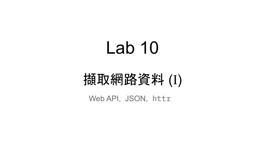# Lab 10

## 擷取網路資料 (I)

Web API, JSON, httr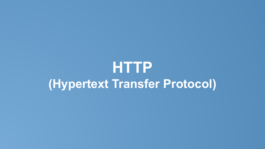## **HTTP (Hypertext Transfer Protocol)**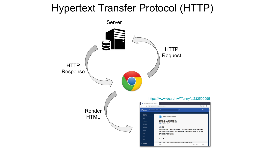## Hypertext Transfer Protocol (HTTP)

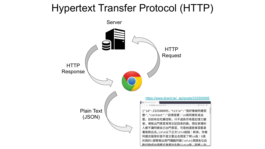## Hypertext Transfer Protocol (HTTP)

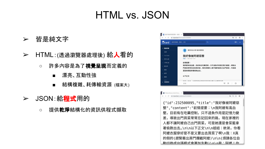## HTML vs. JSON

- ➢ 皆是純文字
- ➢ HTML:(透過瀏覽器處理後) 給人看的
	- 許多內容是為了**視覺呈現**而定義的
		- 漂亮、互動性強
		- 結構複雜、耗傳輸資源 (檔案大)
- > JSON:給程式用的
	- 提供**乾淨**結構化的資訊供程式擷取

|                                                                         | ■ 我好像被阿嬷惡整 - 有趣标 ×                      |                                                                                                    |       |  |
|-------------------------------------------------------------------------|-----------------------------------------|----------------------------------------------------------------------------------------------------|-------|--|
| $\leftarrow$ $\rightarrow$ C                                            | <b>△</b> dcard.tw/f/funny/p/232500095   |                                                                                                    | 图 ☆ 日 |  |
| <b>D</b> card                                                           | 搜尋有趣板、看板、人物                             | a                                                                                                  | 卷入    |  |
| ▼ 看板列表<br>全部<br>· YouTuber<br>• 官方公告<br>• 小事公益<br>· 新生季<br>- 羊妝<br>. 恙甲 | 有趣·11月14日 15:00<br>前情提要:<br>還是會菜籃拿著偷跑出去 | 醒吾科技大學 餐旅管理系<br>我好像被阿嬷惡整<br>我阿嬷有高血壓,目前有在吃藥控制,只不過負作用是記憶力變差,導致出<br>門買菜常常忘記回來的路,現在家裡的人都不讓阿嬤自己出門買菜,可是她 |       |  |
| · 醫差<br>na an                                                           | 以下正文                                    | 22. 1977 From Latin July 2012 adds 1 for 2012 comp 2013 was 1977 at 1 and 2013 100 and 2014        |       |  |
| <b>拉圖看版</b>                                                             | 回應                                      |                                                                                                    | m     |  |

| https://www.dcard.tw/_a x                                             |           |
|-----------------------------------------------------------------------|-----------|
| $\leftarrow$ $\rightarrow$ C' $\bullet$ dcard.tw/_api/posts/232500095 | 图 Q ☆ A : |
|                                                                       |           |
| {"id":232500095,"title":"我好像被阿嬷惡                                      |           |
| 整","content":"前情提要:\n我阿嬷有高血                                           |           |
| 壓,目前有在吃藥控制,只不過負作用是記憶力變                                                |           |
| 差,導致出門買菜常常忘記回來的路,現在家裡的                                                |           |
| 人都不讓阿嬤自己出門買菜,可是她還是會菜籃拿                                                |           |
| 著偷跑出去\n\n以下正文\n\n姐姐:欸弟,你看                                             |           |
| 阿嬷衣服穿好是不是又要出去買菜了啊\n我:X真                                               |           |
| 的假的(趕緊衝出房門攔截阿嬤)\n\n(煩請各位自                                             |           |
| 動切換成台語模式命更加生動ハ n\ n我 ' 阿嫲   你                                         |           |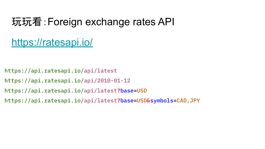## 玩玩看:Foreign exchange rates API

<https://ratesapi.io/>

https://api.ratesapi.io/api/latest

https://api.ratesapi.io/api/2010-01-12

https://api.ratesapi.io/api/latest?base=USD

https://api.ratesapi.io/api/latest?base=USD&symbols=CAD,JPY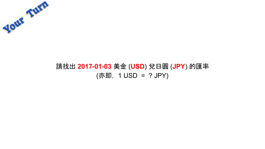

### 請找出 **2017-01-03** 美金 (**USD**) 兌日圓 (**JPY**) 的匯率 (亦即, 1 USD = ? JPY)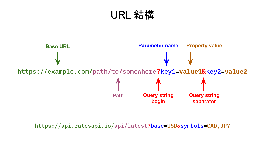## URL 結構



https://api.ratesapi.io/api/latest?base=USD&symbols=CAD,JPY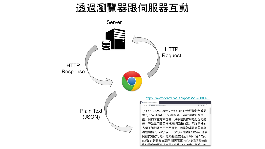### 透過瀏覽器跟伺服器互動

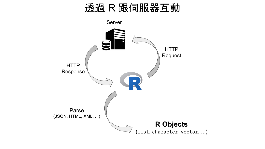## 透過 R 跟伺服器互動

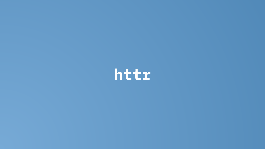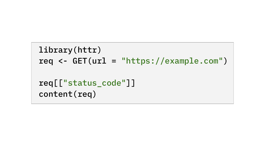```
 library(httr)
req \langle - GET(url = "https://example.com")
 req[["status_code"]]
 content(req)
```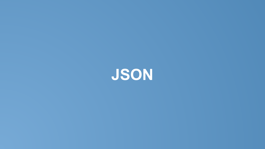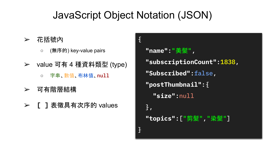## JavaScript Object Notation (JSON)

- ➢ 花括號內
	- (無序的) key-value pairs
- ➢ value 可有 4 種資料類型 (type)
	- 字串、數值、布林值、null
- ➢ 可有階層結構
- ➢ **[ ]** 表徵具有次序的 values

```
{
 "name":"美髮"
,
  "subscriptionCount":1838,
   "Subscribed":false,
  "postThumbnail":{
     "size":null
   },
 "topics":["剪髮"
,
"染髮"]
}
```